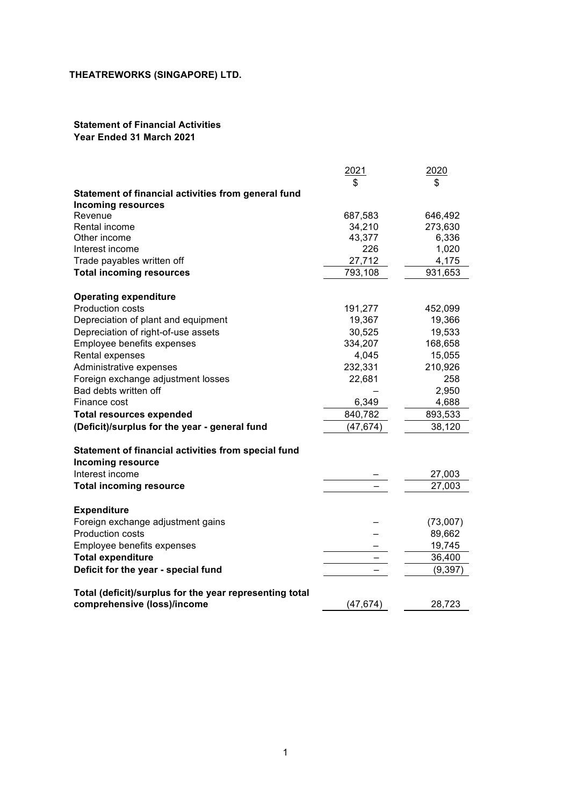#### **Statement of Financial Activities Year Ended 31 March 2021**

|                                                                                        | 2021      | 2020     |
|----------------------------------------------------------------------------------------|-----------|----------|
|                                                                                        | \$        | \$       |
| Statement of financial activities from general fund                                    |           |          |
| Incoming resources                                                                     |           |          |
| Revenue                                                                                | 687,583   | 646,492  |
| Rental income                                                                          | 34,210    | 273,630  |
| Other income                                                                           | 43,377    | 6,336    |
| Interest income                                                                        | 226       | 1,020    |
| Trade payables written off                                                             | 27,712    | 4,175    |
| <b>Total incoming resources</b>                                                        | 793,108   | 931,653  |
| <b>Operating expenditure</b>                                                           |           |          |
| <b>Production costs</b>                                                                | 191,277   | 452,099  |
| Depreciation of plant and equipment                                                    | 19,367    | 19,366   |
| Depreciation of right-of-use assets                                                    | 30,525    | 19,533   |
| Employee benefits expenses                                                             | 334,207   | 168,658  |
| Rental expenses                                                                        | 4,045     | 15,055   |
| Administrative expenses                                                                | 232,331   | 210,926  |
| Foreign exchange adjustment losses                                                     | 22,681    | 258      |
| Bad debts written off                                                                  |           | 2,950    |
| Finance cost                                                                           | 6,349     | 4,688    |
| <b>Total resources expended</b>                                                        | 840,782   | 893,533  |
| (Deficit)/surplus for the year - general fund                                          | (47, 674) | 38,120   |
| Statement of financial activities from special fund<br><b>Incoming resource</b>        |           |          |
| Interest income                                                                        |           | 27,003   |
| <b>Total incoming resource</b>                                                         |           | 27,003   |
| <b>Expenditure</b>                                                                     |           |          |
| Foreign exchange adjustment gains                                                      |           | (73,007) |
| Production costs                                                                       |           | 89,662   |
| Employee benefits expenses                                                             |           | 19,745   |
| <b>Total expenditure</b>                                                               |           | 36,400   |
| Deficit for the year - special fund                                                    |           | (9, 397) |
|                                                                                        |           |          |
| Total (deficit)/surplus for the year representing total<br>comprehensive (loss)/income | (47,674)  | 28,723   |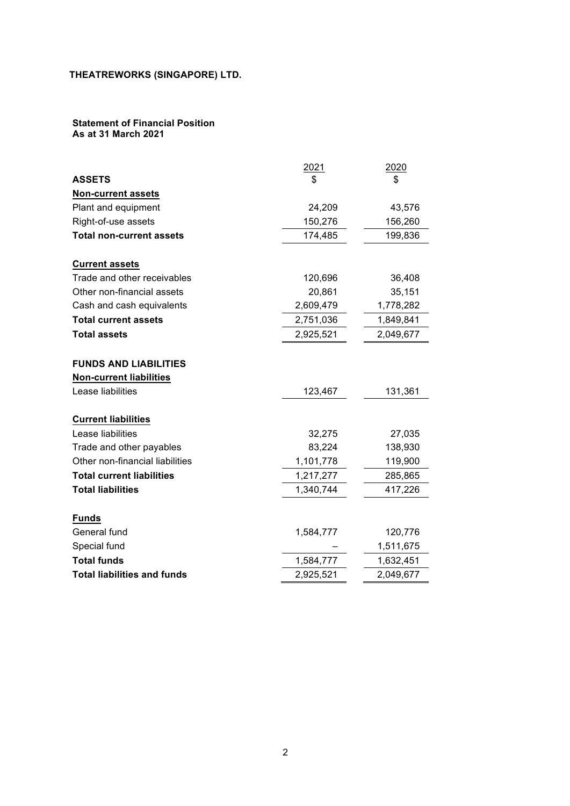#### **Statement of Financial Position As at 31 March 2021**

|                                    | 2021      | 2020      |
|------------------------------------|-----------|-----------|
| <b>ASSETS</b>                      | \$        | \$        |
| <b>Non-current assets</b>          |           |           |
| Plant and equipment                | 24,209    | 43,576    |
| Right-of-use assets                | 150,276   | 156,260   |
| <b>Total non-current assets</b>    | 174,485   | 199,836   |
| <b>Current assets</b>              |           |           |
| Trade and other receivables        | 120,696   | 36,408    |
| Other non-financial assets         | 20,861    | 35,151    |
| Cash and cash equivalents          | 2,609,479 | 1,778,282 |
| <b>Total current assets</b>        | 2,751,036 | 1,849,841 |
| <b>Total assets</b>                | 2,925,521 | 2,049,677 |
| <b>FUNDS AND LIABILITIES</b>       |           |           |
| <b>Non-current liabilities</b>     |           |           |
| Lease liabilities                  | 123,467   | 131,361   |
| <b>Current liabilities</b>         |           |           |
| Lease liabilities                  | 32,275    | 27,035    |
| Trade and other payables           | 83,224    | 138,930   |
| Other non-financial liabilities    | 1,101,778 | 119,900   |
| <b>Total current liabilities</b>   | 1,217,277 | 285,865   |
| <b>Total liabilities</b>           | 1,340,744 | 417,226   |
| <b>Funds</b>                       |           |           |
| General fund                       | 1,584,777 | 120,776   |
| Special fund                       |           | 1,511,675 |
| <b>Total funds</b>                 | 1,584,777 | 1,632,451 |
| <b>Total liabilities and funds</b> | 2,925,521 | 2,049,677 |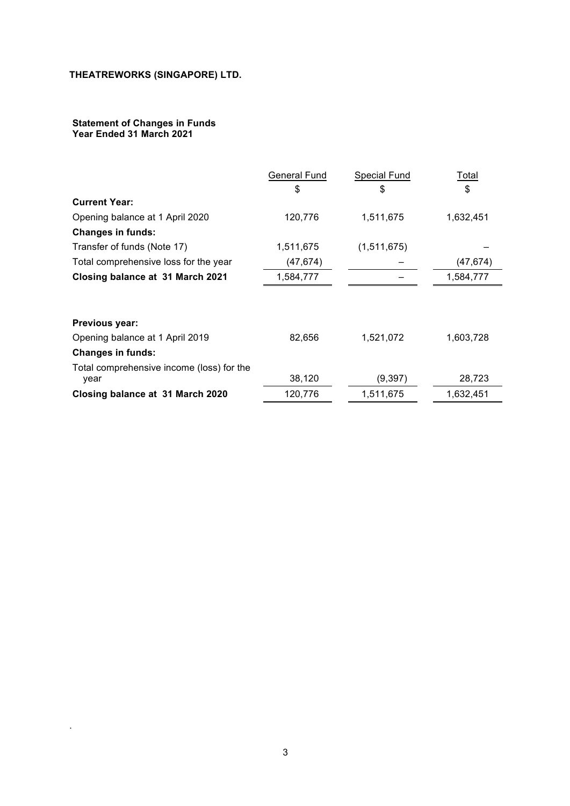#### **Statement of Changes in Funds** 1. **Year Ended 31 March 2021** 2.

.

|                                                   | General Fund | <b>Special Fund</b> | Total     |
|---------------------------------------------------|--------------|---------------------|-----------|
|                                                   | \$           | \$                  | \$        |
| <b>Current Year:</b>                              |              |                     |           |
| Opening balance at 1 April 2020                   | 120,776      | 1,511,675           | 1,632,451 |
| <b>Changes in funds:</b>                          |              |                     |           |
| Transfer of funds (Note 17)                       | 1,511,675    | (1,511,675)         |           |
| Total comprehensive loss for the year             | (47, 674)    |                     | (47, 674) |
| Closing balance at 31 March 2021                  | 1,584,777    |                     | 1,584,777 |
|                                                   |              |                     |           |
| Previous year:                                    |              |                     |           |
| Opening balance at 1 April 2019                   | 82,656       | 1,521,072           | 1,603,728 |
| <b>Changes in funds:</b>                          |              |                     |           |
| Total comprehensive income (loss) for the<br>year | 38,120       | (9, 397)            | 28,723    |
| Closing balance at 31 March 2020                  | 120,776      | 1,511,675           | 1,632,451 |